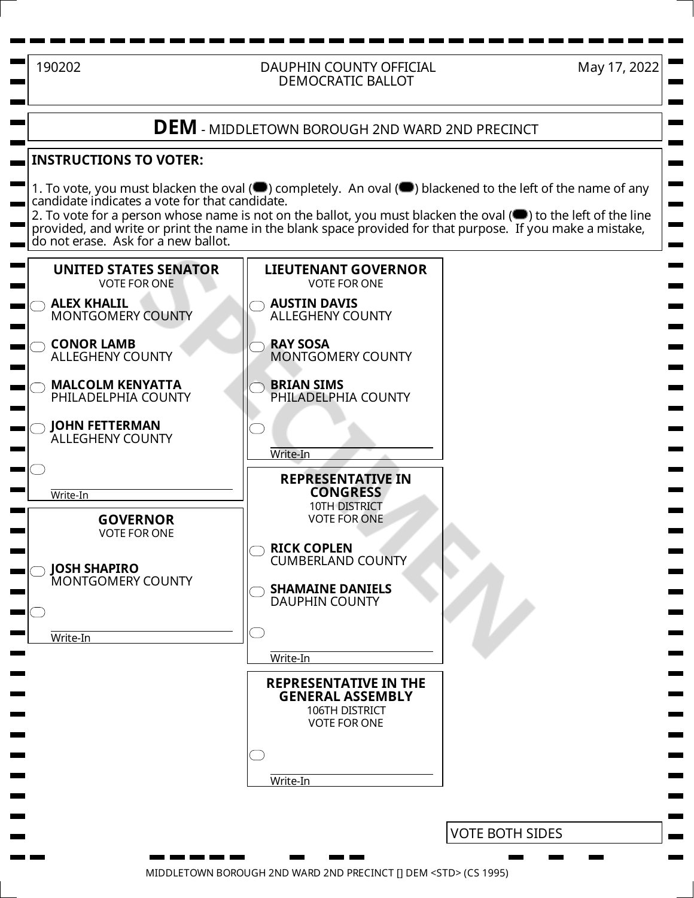## 190202 DAUPHIN COUNTY OFFICIAL DEMOCRATIC BALLOT

## **DEM** - MIDDLETOWN BOROUGH 2ND WARD 2ND PRECINCT

## **INSTRUCTIONS TO VOTER:**

1. To vote, you must blacken the oval (<sup>1</sup>) completely. An oval (<sup>2</sup>) blackened to the left of the name of any candidate indicates a vote for that candidate.

2. To vote for a person whose name is not on the ballot, you must blacken the oval  $($ **)** to the left of the line provided, and write or print the name in the blank space provided for that purpose. If you make a mistake, do not erase. Ask for a new ballot.



VOTE BOTH SIDES